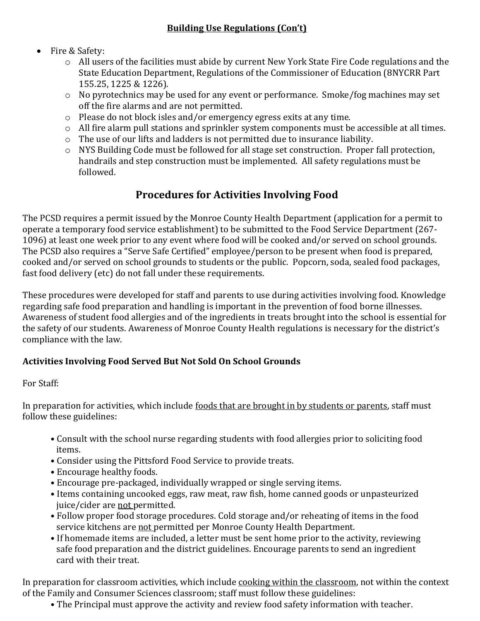### Fire & Safety:

- o All users of the facilities must abide by current New York State Fire Code regulations and the State Education Department, Regulations of the Commissioner of Education (8NYCRR Part 155.25, 1225 & 1226).
- o No pyrotechnics may be used for any event or performance. Smoke/fog machines may set off the fire alarms and are not permitted.
- o Please do not block isles and/or emergency egress exits at any time.
- o All fire alarm pull stations and sprinkler system components must be accessible at all times.
- o The use of our lifts and ladders is not permitted due to insurance liability.
- o NYS Building Code must be followed for all stage set construction. Proper fall protection, handrails and step construction must be implemented. All safety regulations must be followed.

# **Procedures for Activities Involving Food**

The PCSD requires a permit issued by the Monroe County Health Department (application for a permit to operate a temporary food service establishment) to be submitted to the Food Service Department (267- 1096) at least one week prior to any event where food will be cooked and/or served on school grounds. The PCSD also requires a "Serve Safe Certified" employee/person to be present when food is prepared, cooked and/or served on school grounds to students or the public. Popcorn, soda, sealed food packages, fast food delivery (etc) do not fall under these requirements.

These procedures were developed for staff and parents to use during activities involving food. Knowledge regarding safe food preparation and handling is important in the prevention of food borne illnesses. Awareness of student food allergies and of the ingredients in treats brought into the school is essential for the safety of our students. Awareness of Monroe County Health regulations is necessary for the district's compliance with the law.

### **Activities Involving Food Served But Not Sold On School Grounds**

#### For Staff:

In preparation for activities, which include foods that are brought in by students or parents, staff must follow these guidelines:

- Consult with the school nurse regarding students with food allergies prior to soliciting food items.
- Consider using the Pittsford Food Service to provide treats.
- Encourage healthy foods.
- Encourage pre-packaged, individually wrapped or single serving items.
- Items containing uncooked eggs, raw meat, raw fish, home canned goods or unpasteurized juice/cider are not permitted.
- Follow proper food storage procedures. Cold storage and/or reheating of items in the food service kitchens are not permitted per Monroe County Health Department.
- If homemade items are included, a letter must be sent home prior to the activity, reviewing safe food preparation and the district guidelines. Encourage parents to send an ingredient card with their treat.

In preparation for classroom activities, which include cooking within the classroom, not within the context of the Family and Consumer Sciences classroom; staff must follow these guidelines:

• The Principal must approve the activity and review food safety information with teacher.